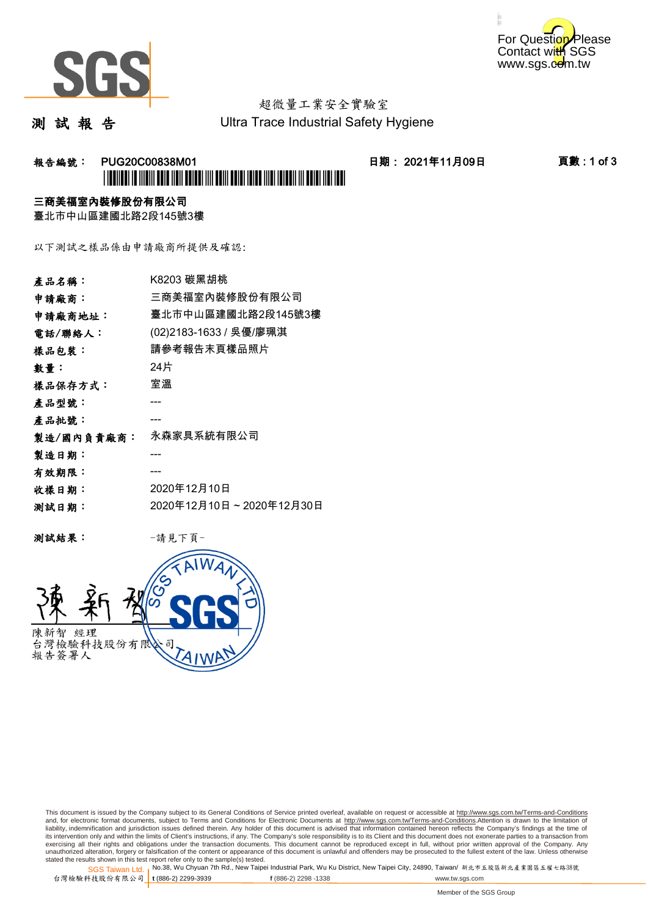



# 超微量工業安全實驗室

測 試 報 告

Ultra Trace Industrial Safety Hygiene

#### 报告編號: PUG20C00838M01 日期: 2021年11月09日 頁數:1 of 3 \*PUG20C00838M01\*

#### 三商美福室內裝修股份有限公司

臺北市中山區建國北路2段145號3樓

以下測試之樣品係由申請廠商所提供及確認:

| 產品名稱:      | K8203 碳黑胡桃              |
|------------|-------------------------|
| 申請廠商:      | 三商美福室內裝修股份有限公司          |
| 申請廠商地址:    | 臺北市中山區建國北路2段145號3樓      |
| 電話/聯絡人:    | (02)2183-1633 / 吳優/廖珮淇  |
| 樣品包裝:      | 請參考報告末頁樣品照片             |
| 數量:        | 24片                     |
| 樣品保存方式:    | 室溫                      |
| 產品型號:      |                         |
| 產品批號:      |                         |
| 製造/國內負責廠商: | 永森家具系統有限公司              |
| 製造日期:      |                         |
| 有效期限:      |                         |
| 收樣日期:      | 2020年12月10日             |
| 测試日期:      | 2020年12月10日~2020年12月30日 |
|            |                         |

测試結果: 一請見下頁



This document is issued by the Company subject to its General Conditions of Service printed overleaf, available on request or accessible at http://www.sgs.com.tw/Terms-and-Conditions and, for electronic format documents, subject to Terms and Conditions for Electronic Documents at <u>http://www.sgs.com.tw/Terms-and-Conditions</u>.Attention is drawn to the limitation of<br>liability, indemnification and jurisdic exercising all their rights and obligations under the transaction documents. This document cannot be reproduced except in full, without prior written approval of the Company. Any<br>unauthorized alteration, forgery or falsifi

SGS Taiwan Ltd. 1 stated the results shown in this test report refer only to the sample(s) tested.<br>Stated the results shown in this test report refer only to the sample(s) tested.

台灣檢驗科技股份有限公司

**t** (886-2) 2299-3939 **f** (886-2) 2298 -1338 www.tw.sgs.com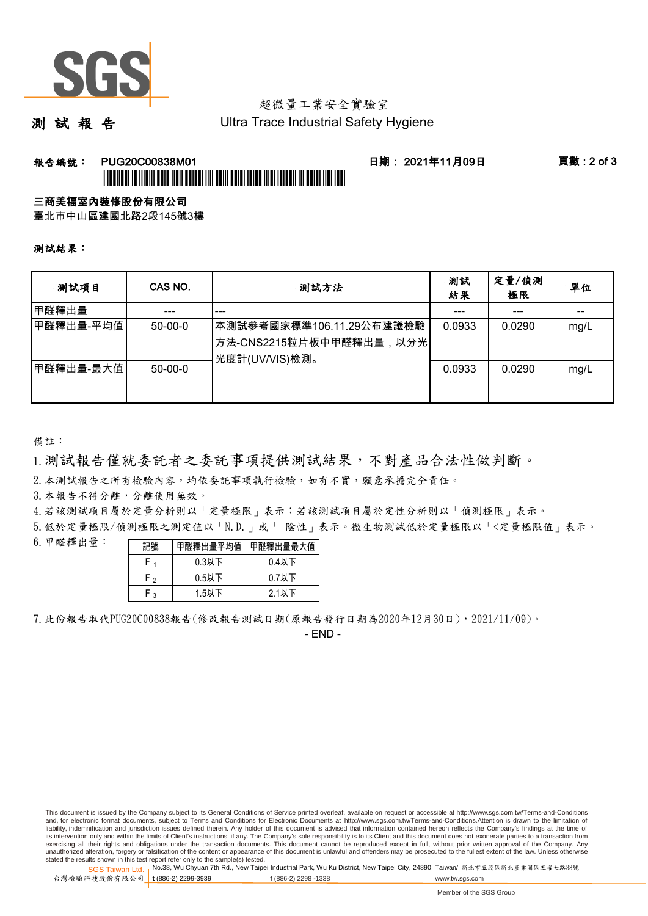

## 超微量工業安全實驗室

測 試 報 告

Ultra Trace Industrial Safety Hygiene

### 報告編號: PUG20C00838M01 日期: 2021年11月09日 頁數 : 2 of 3

# \*PUGENTEEN TE TAALIT EEN DE TAALIT EEN TE TAALIT EEN TAALIT TAALIT TAALIT TAALIT TAALIT TAALIT ALAN TAALIT ARD

三商美福室內裝修股份有限公司

臺北市中山區建國北路2段145號3樓

測試結果:

| 测試項目       | CAS NO.       | 測試方法                                                                                | 測試<br>結果 | 定量/偵測<br>極限 | 單位   |
|------------|---------------|-------------------------------------------------------------------------------------|----------|-------------|------|
| 甲醛釋出量      |               | ---                                                                                 |          |             |      |
| ┃甲醛釋出量-平均值 | $50-00-0$     | 本測試參考國家標準106.11.29公布建議檢驗<br><sup> </sup> 方法-CNS2215粒片板中甲醛釋出量,以分光 <br>光度計(UV/VIS)檢測。 | 0.0933   | 0.0290      | mg/L |
| 甲醛釋出量-最大值  | $50 - 00 - 0$ |                                                                                     | 0.0933   | 0.0290      | mg/L |

備註:

1.測試報告僅就委託者之委託事項提供測試結果,不對產品合法性做判斷。

2.本測試報告之所有檢驗內容,均依委託事項執行檢驗,如有不實,願意承擔完全責任。

3. 本報告不得分離,分離使用無效。

4.若該測試項目屬於定量分析則以「定量極限」表示;若該測試項目屬於定性分析則以「偵測極限」表示。

5.低於定量極限/偵測極限之測定值以「N.D.」或「 陰性」表示。微生物測試低於定量極限以「<定量極限值」表示。

6.甲醛釋出量:

| 記號  |          | 甲醛釋出量平均值 甲醛釋出量最大值 |  |  |
|-----|----------|-------------------|--|--|
|     | $0.3$ 以下 | $0.4$ 以下          |  |  |
| r , | $0.5$ 以下 | $0.7$ 以下          |  |  |
| . ວ | $1.5$ 以下 | $2.1$ 以下          |  |  |

7.此份報告取代PUG20C00838報告(修改報告測試日期(原報告發行日期為2020年12月30日),2021/11/09)。

- END -

This document is issued by the Company subject to its General Conditions of Service printed overleaf, available on request or accessible at http://www.sgs.com.tw/Terms-and-Conditions and, for electronic format documents, subject to Terms and Conditions for Electronic Documents at http://www.sgs.com.tw/Terms-and-Conditions.Attention is drawn to the limitation of liability, indemnification and jurisdiction issues defined therein. Any holder of this document is advised that information contained hereon reflects the Company's findings at the time of<br>its intervention only and within t exercising all their rights and obligations under the transaction documents. This document cannot be reproduced except in full, without prior written approval of the Company. Any<br>unauthorized alteration, forgery or falsifi

SGS Taiwan Ltd. 1 stated the results shown in this test report refer only to the sample(s) tested.<br>Stated the results shown in this test report refer only to the sample(s) tested.

台灣檢驗科技股份有限公司 **t** (886-2) 2299-3939 **f** (886-2) 2298 -1338 www.tw.sgs.com